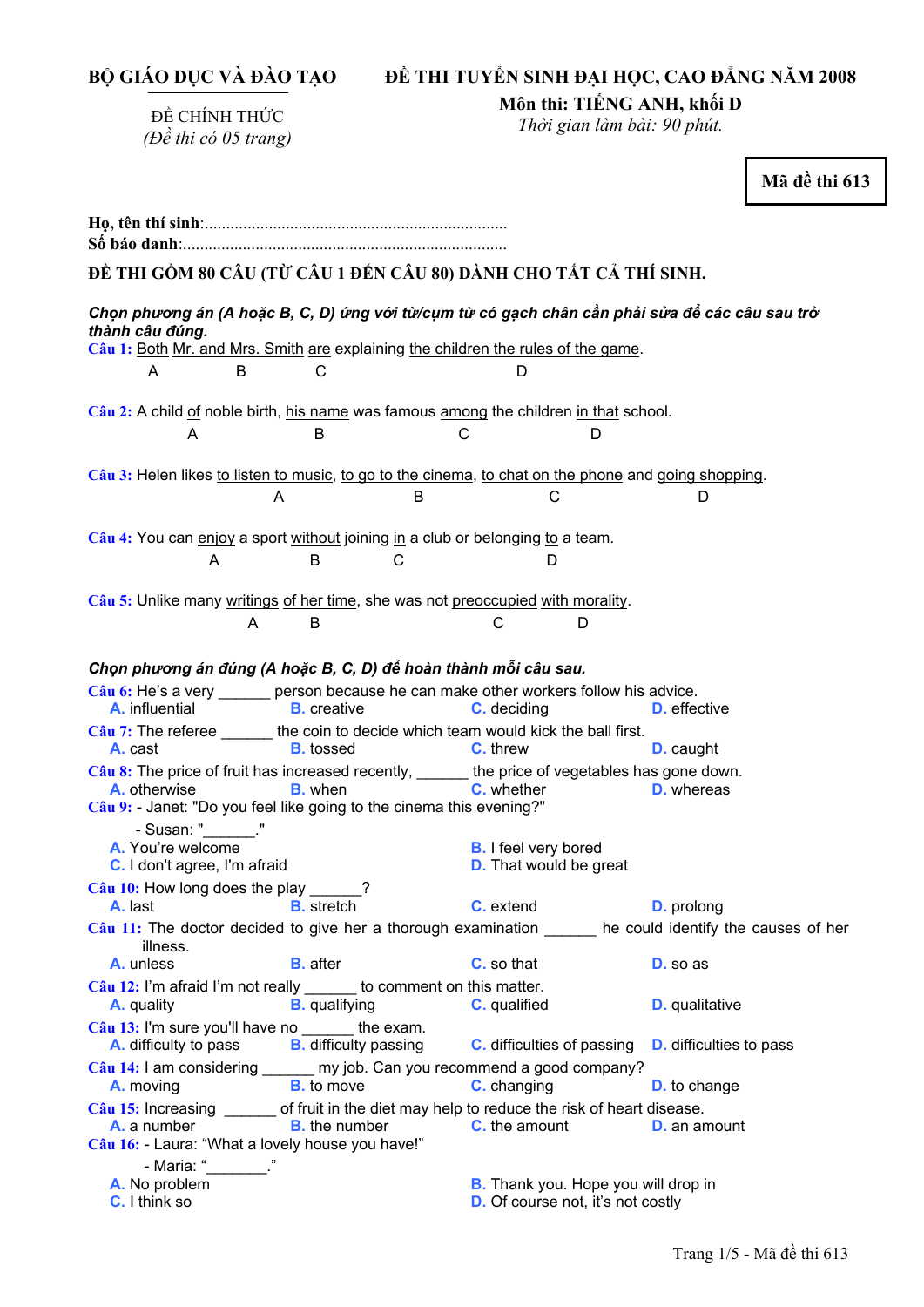**BỘ GIÁO DỤC VÀ ĐÀO TẠO** 

# **ĐỀ THI TUYỂN SINH ĐẠI HỌC, CAO ĐẲNG NĂM 2008**

ĐỀ CHÍNH THỨC *(Đề thi có 05 trang)*  **Môn thi: TIẾNG ANH, khối D** 

*Thời gian làm bài: 90 phút.* 

**Mã đề thi 613** 

| ĐỀ THI GỒM 80 CÂU (TỪ CÂU 1 ĐẾN CÂU 80) DÀNH CHO TẤT CẢ THÍ SINH.                                                                                                                                                                                           |                                                                                                          |  |  |
|-------------------------------------------------------------------------------------------------------------------------------------------------------------------------------------------------------------------------------------------------------------|----------------------------------------------------------------------------------------------------------|--|--|
| Chọn phương án (A hoặc B, C, D) ứng với từ/cụm từ có gạch chân cần phải sửa để các câu sau trở<br>thành câu đúng.<br>Câu 1: Both Mr. and Mrs. Smith are explaining the children the rules of the game.<br>C<br>A<br>B<br>D                                  |                                                                                                          |  |  |
| Câu 2: A child of noble birth, his name was famous among the children in that school.                                                                                                                                                                       |                                                                                                          |  |  |
| B<br>С<br>A                                                                                                                                                                                                                                                 | D                                                                                                        |  |  |
| Câu 3: Helen likes to listen to music, to go to the cinema, to chat on the phone and going shopping.<br>A<br>B                                                                                                                                              | С<br>D                                                                                                   |  |  |
| Câu 4: You can enjoy a sport without joining in a club or belonging to a team.<br>B<br>C<br>A                                                                                                                                                               | D                                                                                                        |  |  |
| Câu 5: Unlike many writings of her time, she was not preoccupied with morality.<br>B<br>A                                                                                                                                                                   | D<br>C                                                                                                   |  |  |
| Chọn phương án đúng (A hoặc B, C, D) để hoàn thành mỗi câu sau.                                                                                                                                                                                             |                                                                                                          |  |  |
| Câu 6: He's a very ______ person because he can make other workers follow his advice.<br>A. influential B. creative                                                                                                                                         | <b>C.</b> deciding<br><b>D.</b> effective                                                                |  |  |
| $Cau$ 7: The referee _______ the coin to decide which team would kick the ball first.<br>A. cast<br><b>B.</b> tossed<br><b>C.</b> threw                                                                                                                     | <b>D.</b> caught                                                                                         |  |  |
| Câu 8: The price of fruit has increased recently, ______ the price of vegetables has gone down.<br>C. whether<br>A. otherwise<br><b>B.</b> when<br><b>D.</b> whereas<br>Câu 9: Janet: "Do you feel like going to the cinema this evening?"<br>- Susan: " ." |                                                                                                          |  |  |
| A. You're welcome<br>C. I don't agree, I'm afraid                                                                                                                                                                                                           | <b>B.</b> I feel very bored<br><b>D.</b> That would be great                                             |  |  |
| $Cau$ 10: How long does the play _____?<br>A. last<br><b>B.</b> stretch                                                                                                                                                                                     | C. extend<br><b>D.</b> prolong                                                                           |  |  |
|                                                                                                                                                                                                                                                             | Câu 11: The doctor decided to give her a thorough examination ______ he could identify the causes of her |  |  |
| illness.<br><b>B.</b> after<br>A. unless                                                                                                                                                                                                                    | C. so that<br>D. so as                                                                                   |  |  |
| Câu 12: I'm afraid I'm not really ______ to comment on this matter.<br><b>B.</b> qualifying<br>A. quality                                                                                                                                                   | <b>C.</b> qualified<br><b>D.</b> qualitative                                                             |  |  |
| Câu 13: I'm sure you'll have no ______ the exam.<br>A. difficulty to pass <b>B.</b> difficulty passing                                                                                                                                                      | <b>C.</b> difficulties of passing<br><b>D.</b> difficulties to pass                                      |  |  |
| Câu 14: I am considering ______ my job. Can you recommend a good company?<br><b>B.</b> to move<br>A. moving                                                                                                                                                 | <b>C.</b> changing<br><b>D.</b> to change                                                                |  |  |
| Câu 15: Increasing ______ of fruit in the diet may help to reduce the risk of heart disease.<br><b>B.</b> the number<br><b>A.</b> a number<br>Câu 16: - Laura: "What a lovely house you have!"                                                              | <b>C.</b> the amount<br><b>D.</b> an amount                                                              |  |  |
| - Maria: "<br>A. No problem<br><b>C.</b> I think so                                                                                                                                                                                                         | <b>B.</b> Thank you. Hope you will drop in<br><b>D.</b> Of course not, it's not costly                   |  |  |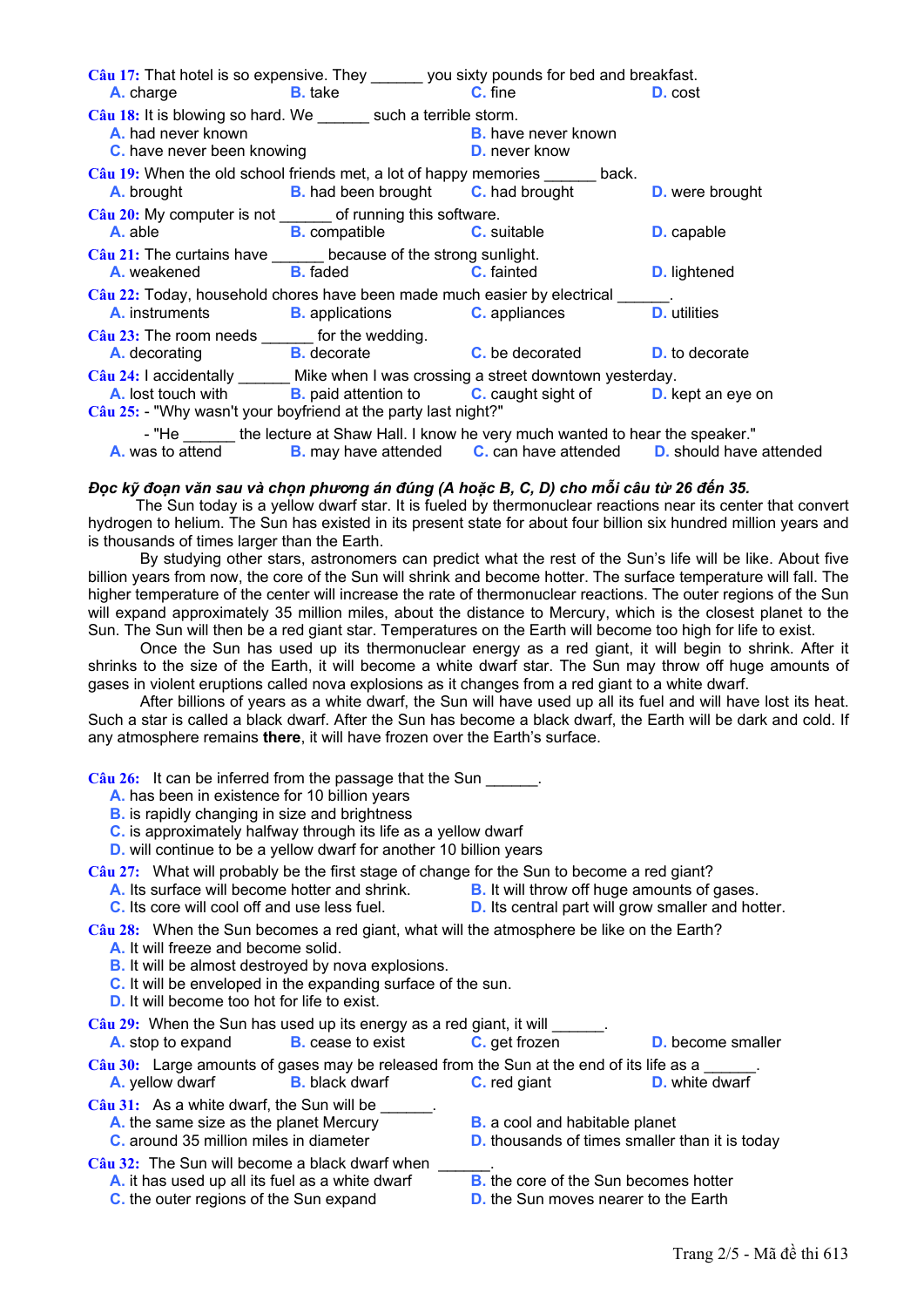| Câu 17: That hotel is so expensive. They ______ you sixty pounds for bed and breakfast.                                                |                                                                                                   |                            |                     |
|----------------------------------------------------------------------------------------------------------------------------------------|---------------------------------------------------------------------------------------------------|----------------------------|---------------------|
|                                                                                                                                        | <b>A.</b> charge <b>B.</b> take <b>C.</b> fine                                                    |                            | <b>D.</b> cost      |
| Câu 18: It is blowing so hard. We _______ such a terrible storm.<br>A. had never known<br><b>C.</b> have never been knowing            | <b>D.</b> never know                                                                              | <b>B.</b> have never known |                     |
| Câu 19: When the old school friends met, a lot of happy memories ______ back.                                                          | A. brought <b>B.</b> had been brought <b>C.</b> had brought <b>D.</b> were brought                |                            |                     |
| Câu 20: My computer is not _______ of running this software.                                                                           | A able <b>B</b> compatible <b>C</b> suitable                                                      |                            | <b>D.</b> capable   |
| Câu 21: The curtains have ______ because of the strong sunlight.                                                                       | <b>A.</b> weakened <b>B.</b> faded <b>C.</b> fainted                                              |                            | <b>D.</b> lightened |
| Câu 22: Today, household chores have been made much easier by electrical ______.                                                       | <b>A.</b> instruments <b>B.</b> applications <b>C.</b> appliances                                 |                            | <b>D.</b> utilities |
| Câu 23: The room needs ______ for the wedding.<br><b>A.</b> decorating <b>B.</b> decorate <b>C.</b> be decorated <b>D.</b> to decorate |                                                                                                   |                            |                     |
| Câu 24: I accidentally _______ Mike when I was crossing a street downtown yesterday.                                                   |                                                                                                   |                            |                     |
| Câu 25: - "Why wasn't your boyfriend at the party last night?"                                                                         | A. lost touch with <b>B.</b> paid attention to <b>C.</b> caught sight of <b>D.</b> kept an eye on |                            |                     |
|                                                                                                                                        | - "He _______ the lecture at Shaw Hall. I know he very much wanted to hear the speaker."          |                            |                     |
|                                                                                                                                        | A. was to attend B. may have attended C. can have attended D. should have attended                |                            |                     |

Đọc kỹ đoạn văn sau và chon phương án đúng (A hoặc B, C, D) cho mỗi câu từ 26 đến 35.

The Sun today is a yellow dwarf star. It is fueled by thermonuclear reactions near its center that convert hydrogen to helium. The Sun has existed in its present state for about four billion six hundred million years and is thousands of times larger than the Earth.

By studying other stars, astronomers can predict what the rest of the Sun's life will be like. About five billion years from now, the core of the Sun will shrink and become hotter. The surface temperature will fall. The higher temperature of the center will increase the rate of thermonuclear reactions. The outer regions of the Sun will expand approximately 35 million miles, about the distance to Mercury, which is the closest planet to the Sun. The Sun will then be a red giant star. Temperatures on the Earth will become too high for life to exist.

Once the Sun has used up its thermonuclear energy as a red giant, it will begin to shrink. After it shrinks to the size of the Earth, it will become a white dwarf star. The Sun may throw off huge amounts of gases in violent eruptions called nova explosions as it changes from a red giant to a white dwarf.

After billions of years as a white dwarf, the Sun will have used up all its fuel and will have lost its heat. Such a star is called a black dwarf. After the Sun has become a black dwarf, the Earth will be dark and cold. If any atmosphere remains there, it will have frozen over the Earth's surface.

 $C\hat{a}$ u 26: It can be inferred from the passage that the Sun

- A, has been in existence for 10 billion vears
- **B.** is rapidly changing in size and brightness
- C. is approximately halfway through its life as a yellow dwarf

**D.** will continue to be a vellow dwarf for another 10 billion vears

Câu 27: What will probably be the first stage of change for the Sun to become a red giant?

- A. Its surface will become hotter and shrink. **B.** It will throw off huge amounts of gases.
- C. Its core will cool off and use less fuel. **D.** Its central part will grow smaller and hotter.

Câu 28: When the Sun becomes a red giant, what will the atmosphere be like on the Earth?

- A. It will freeze and become solid.
- **B.** It will be almost destroyed by nova explosions.
- C. It will be enveloped in the expanding surface of the sun.
- **D.** It will become too hot for life to exist.

| $C\hat{a}u$ 29: When the Sun has used up its energy as a red giant, it will             |                          |                                       |                                                       |  |
|-----------------------------------------------------------------------------------------|--------------------------|---------------------------------------|-------------------------------------------------------|--|
| A. stop to expand                                                                       | <b>B.</b> cease to exist | C. get frozen                         | <b>D.</b> become smaller                              |  |
| Câu 30: Large amounts of gases may be released from the Sun at the end of its life as a |                          |                                       |                                                       |  |
| <b>A.</b> yellow dwarf                                                                  | <b>B.</b> black dwarf    | <b>C.</b> red giant                   | <b>D.</b> white dwarf                                 |  |
| $C\hat{a}$ u 31: As a white dwarf, the Sun will be                                      |                          |                                       |                                                       |  |
| A. the same size as the planet Mercury                                                  |                          | <b>B.</b> a cool and habitable planet |                                                       |  |
| C. around 35 million miles in diameter                                                  |                          |                                       | <b>D.</b> thousands of times smaller than it is today |  |
| Câu 32: The Sun will become a black dwarf when                                          |                          |                                       |                                                       |  |
| A. it has used up all its fuel as a white dwarf                                         |                          |                                       | <b>B.</b> the core of the Sun becomes hotter          |  |
|                                                                                         |                          |                                       |                                                       |  |

- **C.** the outer regions of the Sun expand
- 
- **D.** the Sun moves nearer to the Earth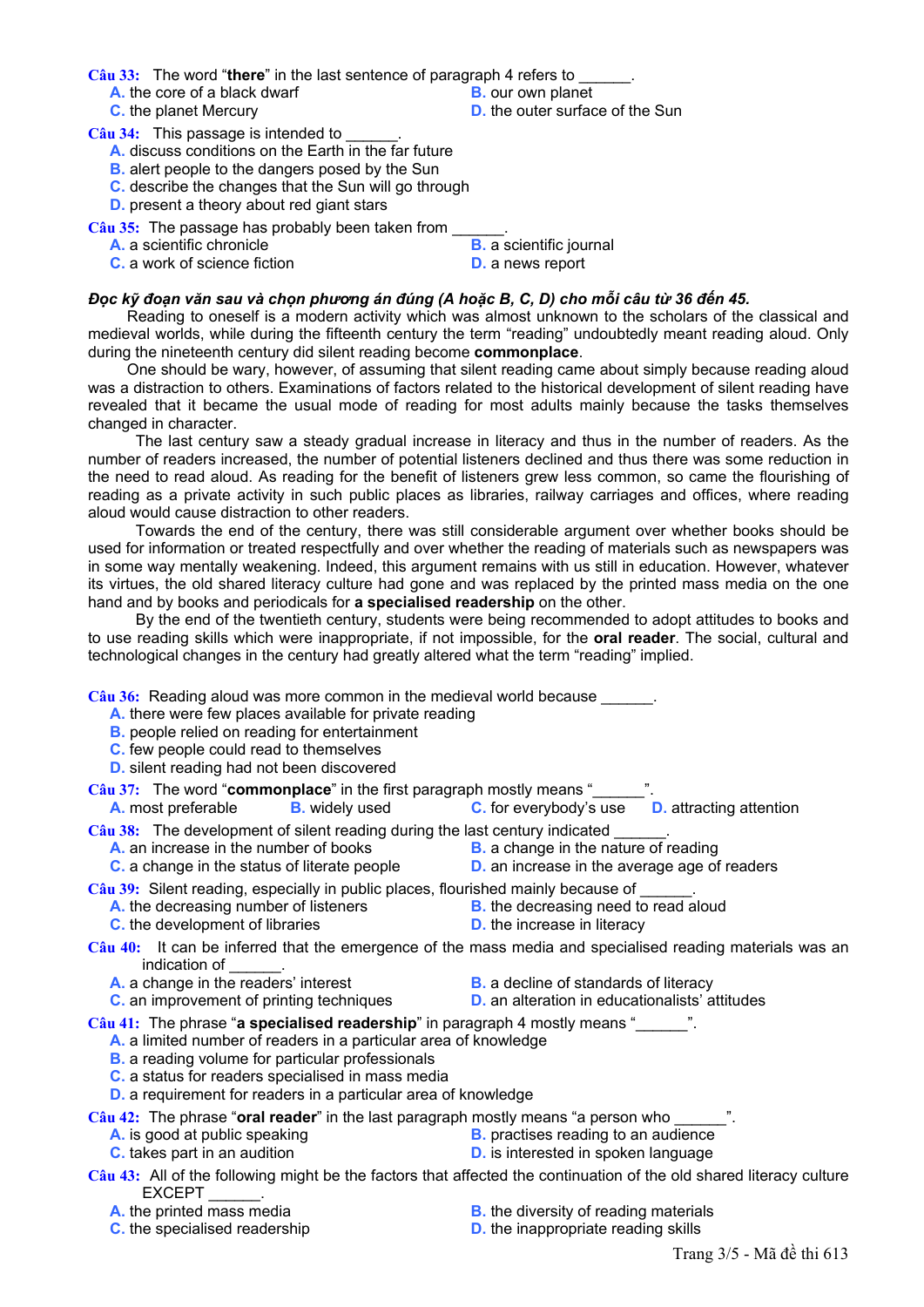**Câu 33:** The word "**there**" in the last sentence of paragraph 4 refers to \_\_\_\_\_\_.

- **A.** the core of a black dwarf **B.** our own planet **C.** the planet Mercury **B. B. D.** the outer surfact
- 
- 
- **D.** the outer surface of the Sun

Câu 34: This passage is intended to

- **A.** discuss conditions on the Earth in the far future
- **B.** alert people to the dangers posed by the Sun
- **C.** describe the changes that the Sun will go through
- **D.** present a theory about red giant stars

Câu 35: The passage has probably been taken from

- **A.** a scientific chronicle **B.** a scientific journal
- **C.** a work of science fiction **D.** a news report
- 

# Đọc kỹ đoạn văn sau và chọn phương án đúng (A hoặc B, C, D) cho mỗi câu từ 36 đến 45.

Reading to oneself is a modern activity which was almost unknown to the scholars of the classical and medieval worlds, while during the fifteenth century the term "reading" undoubtedly meant reading aloud. Only during the nineteenth century did silent reading become **commonplace**.

 One should be wary, however, of assuming that silent reading came about simply because reading aloud was a distraction to others. Examinations of factors related to the historical development of silent reading have revealed that it became the usual mode of reading for most adults mainly because the tasks themselves changed in character.

 The last century saw a steady gradual increase in literacy and thus in the number of readers. As the number of readers increased, the number of potential listeners declined and thus there was some reduction in the need to read aloud. As reading for the benefit of listeners grew less common, so came the flourishing of reading as a private activity in such public places as libraries, railway carriages and offices, where reading aloud would cause distraction to other readers.

 Towards the end of the century, there was still considerable argument over whether books should be used for information or treated respectfully and over whether the reading of materials such as newspapers was in some way mentally weakening. Indeed, this argument remains with us still in education. However, whatever its virtues, the old shared literacy culture had gone and was replaced by the printed mass media on the one hand and by books and periodicals for **a specialised readership** on the other.

 By the end of the twentieth century, students were being recommended to adopt attitudes to books and to use reading skills which were inappropriate, if not impossible, for the **oral reader**. The social, cultural and technological changes in the century had greatly altered what the term "reading" implied.

Câu 36: Reading aloud was more common in the medieval world because \_\_\_\_\_\_.

- **A.** there were few places available for private reading
- **B.** people relied on reading for entertainment
- **C.** few people could read to themselves
- **D.** silent reading had not been discovered

**Câu 37:** The word "**commonplace**" in the first paragraph mostly means "\_\_\_\_\_\_".

**A.** most preferable **B.** widely used **C.** for everybody's use **D.** attracting attention

Câu 38: The development of silent reading during the last century indicated

- **A.** an increase in the number of books **B.** a change in the nature of reading
- **C.** a change in the status of literate people **D.** an increase in the average age of readers
- 
- **Câu 39:** Silent reading, especially in public places, flourished mainly because of \_\_\_\_\_\_.
	- **A.** the decreasing number of listeners **B.** the decreasing need to read aloud **C.** the development of libraries **B.** the increase in literacy
	- **C.** the development of libraries
- 

**Câu 40:** It can be inferred that the emergence of the mass media and specialised reading materials was an indication of

- **A.** a change in the readers' interest **B.** a decline of standards of literacy
	-
- **C.** an improvement of printing techniques **D.** an alteration in educationalists' attitudes

**Câu 41:** The phrase "**a specialised readership**" in paragraph 4 mostly means "\_\_\_\_\_\_".

- **A.** a limited number of readers in a particular area of knowledge
- **B.** a reading volume for particular professionals
- **C.** a status for readers specialised in mass media
- **D.** a requirement for readers in a particular area of knowledge

**Câu 42:** The phrase "**oral reader**" in the last paragraph mostly means "a person who \_\_\_\_\_\_".

- **A.** is good at public speaking **B.** practises reading to an audience
- **C.** takes part in an audition **D.** is interested in spoken language
	-

**Câu 43:** All of the following might be the factors that affected the continuation of the old shared literacy culture **EXCEPT** 

- 
- **C.** the specialised readership **D.** the inappropriate reading skills
- **A.** the printed mass media **B.** the diversity of reading materials
	-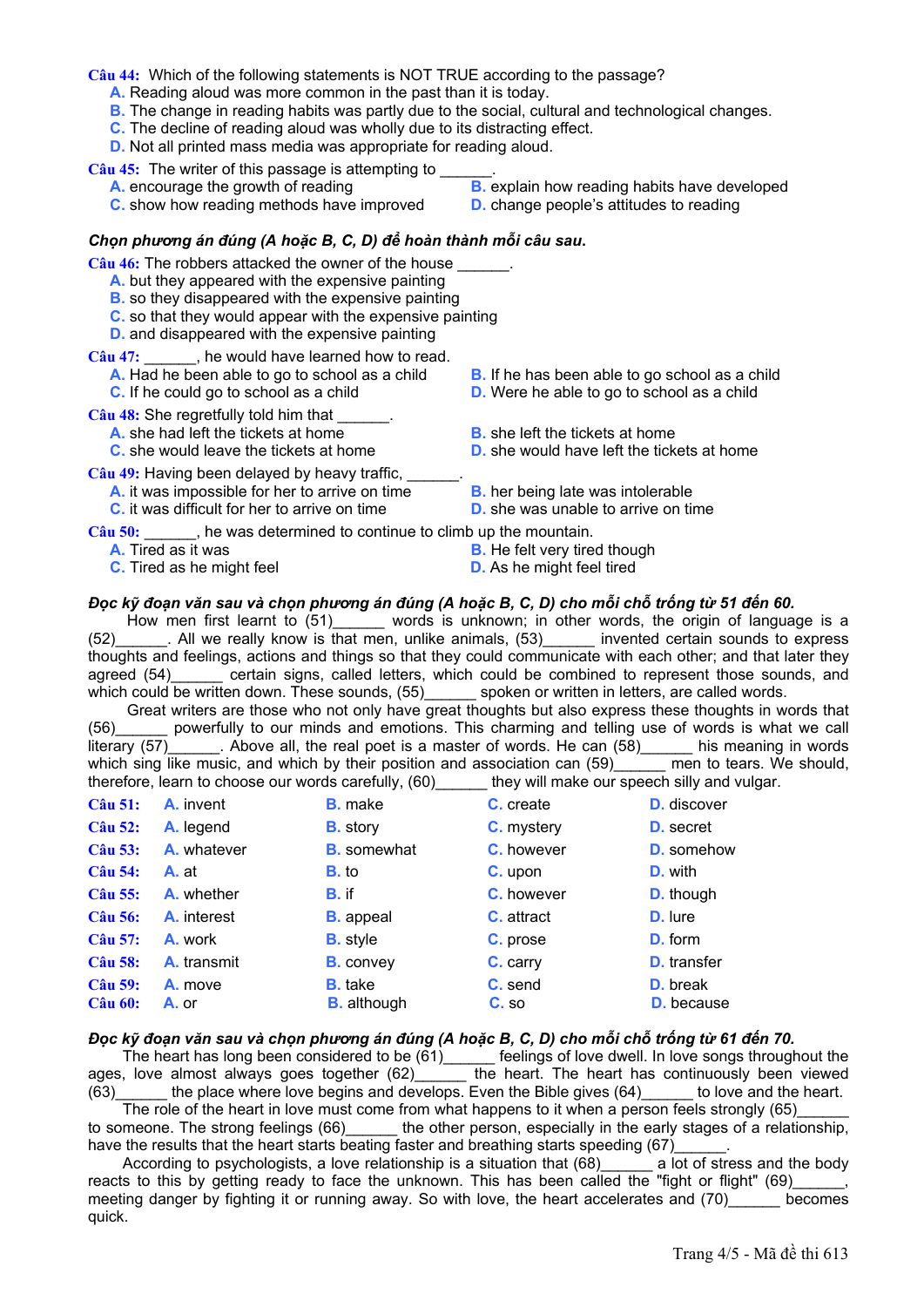**Câu 44:** Which of the following statements is NOT TRUE according to the passage?

- **A.** Reading aloud was more common in the past than it is today.
- **B.** The change in reading habits was partly due to the social, cultural and technological changes.
- **C.** The decline of reading aloud was wholly due to its distracting effect.
- **D.** Not all printed mass media was appropriate for reading aloud.

Câu 45: The writer of this passage is attempting to

- 
- **C.** show how reading methods have improved **D.** change people's attitudes to reading
- **A.** encourage the growth of reading **B.** explain how reading habits have developed
	-

#### *Chọn phương án đúng (A hoặc B, C, D) để hoàn thành mỗi câu sau***.**

Câu 46: The robbers attacked the owner of the house

- **A.** but they appeared with the expensive painting
- **B.** so they disappeared with the expensive painting
- **C.** so that they would appear with the expensive painting
- **D.** and disappeared with the expensive painting

**Câu 47:** \_\_\_\_\_\_, he would have learned how to read.

- 
- 

Câu 48: She regretfully told him that

- 
- **A.** she had left the tickets at home<br> **C.** she would leave the tickets at home<br> **B.** she left the tickets at home<br> **D.** she would have left the tickets

Câu 49: Having been delayed by heavy traffic.

- **A.** it was impossible for her to arrive on time **B.** her being late was intolerable
- 
- **A.** Had he been able to go to school as a child **B.** If he has been able to go school as a child
- **C.** If he could go to school as a child **D.** Were he able to go to school as a child
	-
	- **D.** she would have left the tickets at home
	-
- 
- **C.** it was difficult for her to arrive on time **D.** she was unable to arrive on time
- 

**Câu 50:** \_\_\_\_\_\_, he was determined to continue to climb up the mountain.

- 
- 
- **A.** Tired as it was **B.** He felt very tired though
- **C.** Tired as he might feel **D.** As he might feel tired

# Đọc kỹ đoạn văn sau và chọn phương án đúng (A hoặc B, C, D) cho mỗi chỗ trống từ 51 đến 60.

How men first learnt to (51) words is unknown; in other words, the origin of language is a (52)\_\_\_\_\_\_. All we really know is that men, unlike animals, (53)\_\_\_\_\_\_ invented certain sounds to express thoughts and feelings, actions and things so that they could communicate with each other; and that later they agreed (54) certain signs, called letters, which could be combined to represent those sounds, and which could be written down. These sounds, (55)\_\_\_\_\_\_\_ spoken or written in letters, are called words.

 Great writers are those who not only have great thoughts but also express these thoughts in words that (56)\_\_\_\_\_\_ powerfully to our minds and emotions. This charming and telling use of words is what we call literary  $(57)$  . Above all, the real poet is a master of words. He can  $(58)$  his meaning in words which sing like music, and which by their position and association can (59) men to tears. We should, therefore, learn to choose our words carefully, (60)\_\_\_\_\_\_ they will make our speech silly and vulgar.

| <b>Câu 51:</b> | <b>A.</b> invent  | <b>B.</b> make     | C. create          | <b>D.</b> discover |
|----------------|-------------------|--------------------|--------------------|--------------------|
| <b>Câu 52:</b> | A. legend         | <b>B.</b> story    | <b>C.</b> mystery  | <b>D.</b> secret   |
| Câu 53:        | A. whatever       | <b>B.</b> somewhat | <b>C</b> . however | <b>D.</b> somehow  |
| <b>Câu 54:</b> | A. at             | <b>B.</b> to       | C. upon            | <b>D.</b> with     |
| Câu 55:        | <b>A.</b> whether | <b>B.</b> if       | <b>C.</b> however  | <b>D.</b> though   |
| <b>Câu 56:</b> | A. interest       | <b>B.</b> appeal   | <b>C.</b> attract  | <b>D.</b> lure     |
| <b>Câu 57:</b> | A. work           | <b>B.</b> style    | C. prose           | <b>D.</b> form     |
| <b>Câu 58:</b> | A. transmit       | <b>B.</b> convey   | C. carry           | <b>D.</b> transfer |
| <b>Câu 59:</b> | A. move           | <b>B.</b> take     | C. send            | <b>D.</b> break    |
| <b>Câu 60:</b> | A. or             | <b>B.</b> although | C. so              | <b>D.</b> because  |

#### Đọc kỹ đoạn văn sau và chọn phương án đúng (A hoặc B, C, D) cho mỗi chỗ trống từ 61 đến 70.

The heart has long been considered to be  $(61)$  [eelings of love dwell. In love songs throughout the ages, love almost always goes together (62)\_\_\_\_\_\_ the heart. The heart has continuously been viewed  $(63)$  the place where love begins and develops. Even the Bible gives (64) to love and the heart.

The role of the heart in love must come from what happens to it when a person feels strongly (65) to someone. The strong feelings (66)\_\_\_\_\_\_\_ the other person, especially in the early stages of a relationship, have the results that the heart starts beating faster and breathing starts speeding (67)

According to psychologists, a love relationship is a situation that (68) a lot of stress and the body reacts to this by getting ready to face the unknown. This has been called the "fight or flight" (69) meeting danger by fighting it or running away. So with love, the heart accelerates and (70) becomes quick.